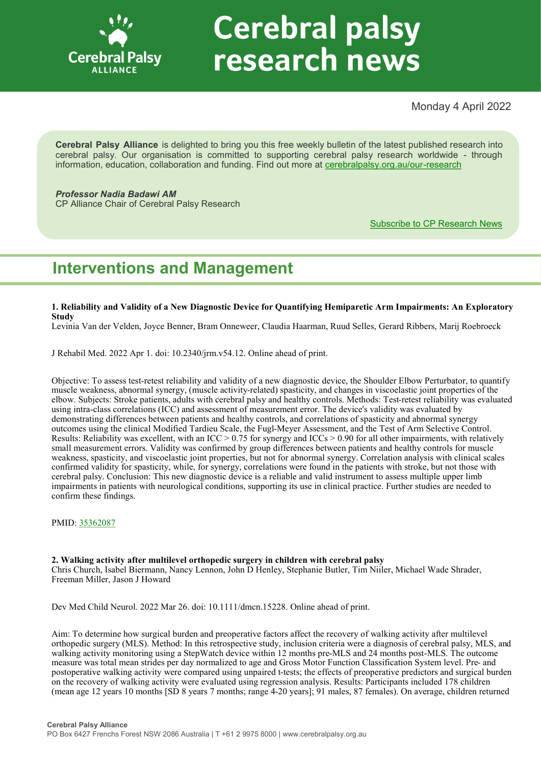

# **Cerebral palsy** research news

Monday 4 April 2022

**Cerebral Palsy Alliance** is delighted to bring you this free weekly bulletin of the latest published research into cerebral palsy. Our organisation is committed to supporting cerebral palsy research worldwide - through information, education, collaboration and funding. Find out more at [cerebralpalsy.org.au/our](https://cerebralpalsy.org.au/our-research/)-research

*Professor Nadia Badawi AM* CP Alliance Chair of Cerebral Palsy Research

[Subscribe to CP Research News](https://cerebralpalsy.org.au/our-research/get-involved-research/cp-research-newsletters/)

# **Interventions and Management**

**1. Reliability and Validity of a New Diagnostic Device for Quantifying Hemiparetic Arm Impairments: An Exploratory Study**

Levinia Van der Velden, Joyce Benner, Bram Onneweer, Claudia Haarman, Ruud Selles, Gerard Ribbers, Marij Roebroeck

J Rehabil Med. 2022 Apr 1. doi: 10.2340/jrm.v54.12. Online ahead of print.

Objective: To assess test-retest reliability and validity of a new diagnostic device, the Shoulder Elbow Perturbator, to quantify muscle weakness, abnormal synergy, (muscle activity-related) spasticity, and changes in viscoelastic joint properties of the elbow. Subjects: Stroke patients, adults with cerebral palsy and healthy controls. Methods: Test-retest reliability was evaluated using intra-class correlations (ICC) and assessment of measurement error. The device's validity was evaluated by demonstrating differences between patients and healthy controls, and correlations of spasticity and abnormal synergy outcomes using the clinical Modified Tardieu Scale, the Fugl-Meyer Assessment, and the Test of Arm Selective Control. Results: Reliability was excellent, with an ICC > 0.75 for synergy and ICCs > 0.90 for all other impairments, with relatively small measurement errors. Validity was confirmed by group differences between patients and healthy controls for muscle weakness, spasticity, and viscoelastic joint properties, but not for abnormal synergy. Correlation analysis with clinical scales confirmed validity for spasticity, while, for synergy, correlations were found in the patients with stroke, but not those with cerebral palsy. Conclusion: This new diagnostic device is a reliable and valid instrument to assess multiple upper limb impairments in patients with neurological conditions, supporting its use in clinical practice. Further studies are needed to confirm these findings.

PMID: [35362087](https://pubmed.ncbi.nlm.nih.gov/35362087)

**2. Walking activity after multilevel orthopedic surgery in children with cerebral palsy** Chris Church, Isabel Biermann, Nancy Lennon, John D Henley, Stephanie Butler, Tim Niiler, Michael Wade Shrader, Freeman Miller, Jason J Howard

Dev Med Child Neurol. 2022 Mar 26. doi: 10.1111/dmcn.15228. Online ahead of print.

Aim: To determine how surgical burden and preoperative factors affect the recovery of walking activity after multilevel orthopedic surgery (MLS). Method: In this retrospective study, inclusion criteria were a diagnosis of cerebral palsy, MLS, and walking activity monitoring using a StepWatch device within 12 months pre-MLS and 24 months post-MLS. The outcome measure was total mean strides per day normalized to age and Gross Motor Function Classification System level. Pre- and postoperative walking activity were compared using unpaired t-tests; the effects of preoperative predictors and surgical burden on the recovery of walking activity were evaluated using regression analysis. Results: Participants included 178 children (mean age 12 years 10 months [SD 8 years 7 months; range 4-20 years]; 91 males, 87 females). On average, children returned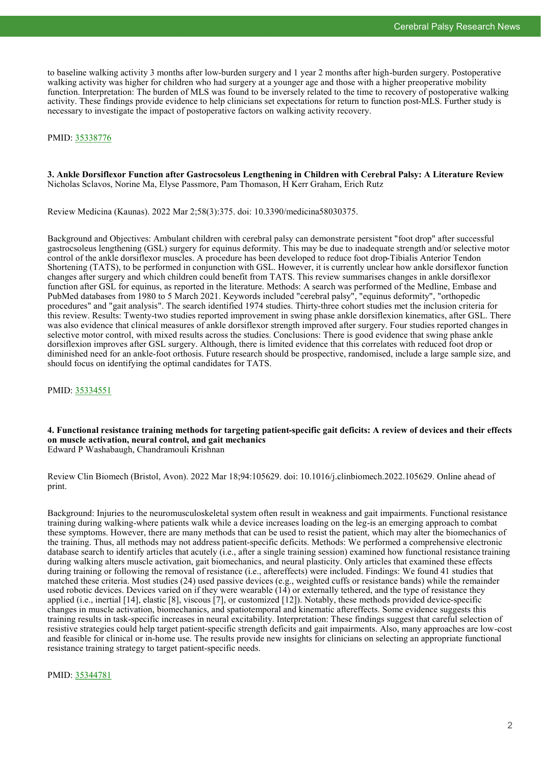to baseline walking activity 3 months after low-burden surgery and 1 year 2 months after high-burden surgery. Postoperative walking activity was higher for children who had surgery at a younger age and those with a higher preoperative mobility function. Interpretation: The burden of MLS was found to be inversely related to the time to recovery of postoperative walking activity. These findings provide evidence to help clinicians set expectations for return to function post-MLS. Further study is necessary to investigate the impact of postoperative factors on walking activity recovery.

#### PMID: [35338776](https://pubmed.ncbi.nlm.nih.gov/35338776)

#### **3. Ankle Dorsiflexor Function after Gastrocsoleus Lengthening in Children with Cerebral Palsy: A Literature Review** Nicholas Sclavos, Norine Ma, Elyse Passmore, Pam Thomason, H Kerr Graham, Erich Rutz

Review Medicina (Kaunas). 2022 Mar 2;58(3):375. doi: 10.3390/medicina58030375.

Background and Objectives: Ambulant children with cerebral palsy can demonstrate persistent "foot drop" after successful gastrocsoleus lengthening (GSL) surgery for equinus deformity. This may be due to inadequate strength and/or selective motor control of the ankle dorsiflexor muscles. A procedure has been developed to reduce foot drop-Tibialis Anterior Tendon Shortening (TATS), to be performed in conjunction with GSL. However, it is currently unclear how ankle dorsiflexor function changes after surgery and which children could benefit from TATS. This review summarises changes in ankle dorsiflexor function after GSL for equinus, as reported in the literature. Methods: A search was performed of the Medline, Embase and PubMed databases from 1980 to 5 March 2021. Keywords included "cerebral palsy", "equinus deformity", "orthopedic procedures" and "gait analysis". The search identified 1974 studies. Thirty-three cohort studies met the inclusion criteria for this review. Results: Twenty-two studies reported improvement in swing phase ankle dorsiflexion kinematics, after GSL. There was also evidence that clinical measures of ankle dorsiflexor strength improved after surgery. Four studies reported changes in selective motor control, with mixed results across the studies. Conclusions: There is good evidence that swing phase ankle dorsiflexion improves after GSL surgery. Although, there is limited evidence that this correlates with reduced foot drop or diminished need for an ankle-foot orthosis. Future research should be prospective, randomised, include a large sample size, and should focus on identifying the optimal candidates for TATS.

PMID: [35334551](https://pubmed.ncbi.nlm.nih.gov/35334551)

**4. Functional resistance training methods for targeting patient-specific gait deficits: A review of devices and their effects on muscle activation, neural control, and gait mechanics** Edward P Washabaugh, Chandramouli Krishnan

Review Clin Biomech (Bristol, Avon). 2022 Mar 18;94:105629. doi: 10.1016/j.clinbiomech.2022.105629. Online ahead of print.

Background: Injuries to the neuromusculoskeletal system often result in weakness and gait impairments. Functional resistance training during walking-where patients walk while a device increases loading on the leg-is an emerging approach to combat these symptoms. However, there are many methods that can be used to resist the patient, which may alter the biomechanics of the training. Thus, all methods may not address patient-specific deficits. Methods: We performed a comprehensive electronic database search to identify articles that acutely (i.e., after a single training session) examined how functional resistance training during walking alters muscle activation, gait biomechanics, and neural plasticity. Only articles that examined these effects during training or following the removal of resistance (i.e., aftereffects) were included. Findings: We found 41 studies that matched these criteria. Most studies (24) used passive devices (e.g., weighted cuffs or resistance bands) while the remainder used robotic devices. Devices varied on if they were wearable (14) or externally tethered, and the type of resistance they applied (i.e., inertial [14], elastic [8], viscous [7], or customized [12]). Notably, these methods provided device-specific changes in muscle activation, biomechanics, and spatiotemporal and kinematic aftereffects. Some evidence suggests this training results in task-specific increases in neural excitability. Interpretation: These findings suggest that careful selection of resistive strategies could help target patient-specific strength deficits and gait impairments. Also, many approaches are low-cost and feasible for clinical or in-home use. The results provide new insights for clinicians on selecting an appropriate functional resistance training strategy to target patient-specific needs.

PMID: [35344781](https://pubmed.ncbi.nlm.nih.gov/35344781)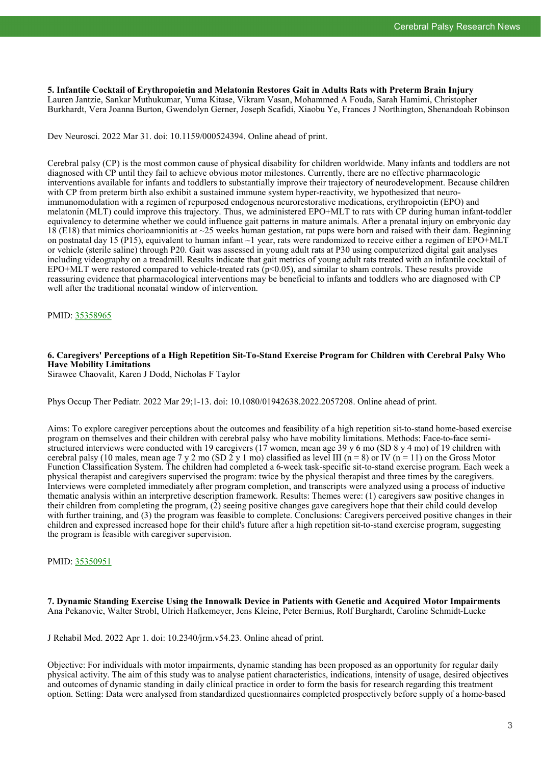**5. Infantile Cocktail of Erythropoietin and Melatonin Restores Gait in Adults Rats with Preterm Brain Injury** Lauren Jantzie, Sankar Muthukumar, Yuma Kitase, Vikram Vasan, Mohammed A Fouda, Sarah Hamimi, Christopher Burkhardt, Vera Joanna Burton, Gwendolyn Gerner, Joseph Scafidi, Xiaobu Ye, Frances J Northington, Shenandoah Robinson

Dev Neurosci. 2022 Mar 31. doi: 10.1159/000524394. Online ahead of print.

Cerebral palsy (CP) is the most common cause of physical disability for children worldwide. Many infants and toddlers are not diagnosed with CP until they fail to achieve obvious motor milestones. Currently, there are no effective pharmacologic interventions available for infants and toddlers to substantially improve their trajectory of neurodevelopment. Because children with CP from preterm birth also exhibit a sustained immune system hyper-reactivity, we hypothesized that neuroimmunomodulation with a regimen of repurposed endogenous neurorestorative medications, erythropoietin (EPO) and melatonin (MLT) could improve this trajectory. Thus, we administered EPO+MLT to rats with CP during human infant-toddler equivalency to determine whether we could influence gait patterns in mature animals. After a prenatal injury on embryonic day 18 (E18) that mimics chorioamnionitis at ~25 weeks human gestation, rat pups were born and raised with their dam. Beginning on postnatal day 15 (P15), equivalent to human infant ~1 year, rats were randomized to receive either a regimen of EPO+MLT or vehicle (sterile saline) through P20. Gait was assessed in young adult rats at P30 using computerized digital gait analyses including videography on a treadmill. Results indicate that gait metrics of young adult rats treated with an infantile cocktail of EPO+MLT were restored compared to vehicle-treated rats ( $p$ <0.05), and similar to sham controls. These results provide reassuring evidence that pharmacological interventions may be beneficial to infants and toddlers who are diagnosed with CP well after the traditional neonatal window of intervention.

PMID: [35358965](https://pubmed.ncbi.nlm.nih.gov/35358965)

# **6. Caregivers' Perceptions of a High Repetition Sit-To-Stand Exercise Program for Children with Cerebral Palsy Who Have Mobility Limitations**

Sirawee Chaovalit, Karen J Dodd, Nicholas F Taylor

Phys Occup Ther Pediatr. 2022 Mar 29;1-13. doi: 10.1080/01942638.2022.2057208. Online ahead of print.

Aims: To explore caregiver perceptions about the outcomes and feasibility of a high repetition sit-to-stand home-based exercise program on themselves and their children with cerebral palsy who have mobility limitations. Methods: Face-to-face semistructured interviews were conducted with 19 caregivers (17 women, mean age 39 y 6 mo (SD 8 y 4 mo) of 19 children with cerebral palsy (10 males, mean age 7 y 2 mo (SD 2 y 1 mo) classified as level III (n = 8) or IV (n = 11) on the Gross Motor Function Classification System. The children had completed a 6-week task-specific sit-to-stand exercise program. Each week a physical therapist and caregivers supervised the program: twice by the physical therapist and three times by the caregivers. Interviews were completed immediately after program completion, and transcripts were analyzed using a process of inductive thematic analysis within an interpretive description framework. Results: Themes were: (1) caregivers saw positive changes in their children from completing the program, (2) seeing positive changes gave caregivers hope that their child could develop with further training, and (3) the program was feasible to complete. Conclusions: Caregivers perceived positive changes in their children and expressed increased hope for their child's future after a high repetition sit-to-stand exercise program, suggesting the program is feasible with caregiver supervision.

# PMID: [35350951](https://pubmed.ncbi.nlm.nih.gov/35350951)

**7. Dynamic Standing Exercise Using the Innowalk Device in Patients with Genetic and Acquired Motor Impairments** Ana Pekanovic, Walter Strobl, Ulrich Hafkemeyer, Jens Kleine, Peter Bernius, Rolf Burghardt, Caroline Schmidt-Lucke

J Rehabil Med. 2022 Apr 1. doi: 10.2340/jrm.v54.23. Online ahead of print.

Objective: For individuals with motor impairments, dynamic standing has been proposed as an opportunity for regular daily physical activity. The aim of this study was to analyse patient characteristics, indications, intensity of usage, desired objectives and outcomes of dynamic standing in daily clinical practice in order to form the basis for research regarding this treatment option. Setting: Data were analysed from standardized questionnaires completed prospectively before supply of a home-based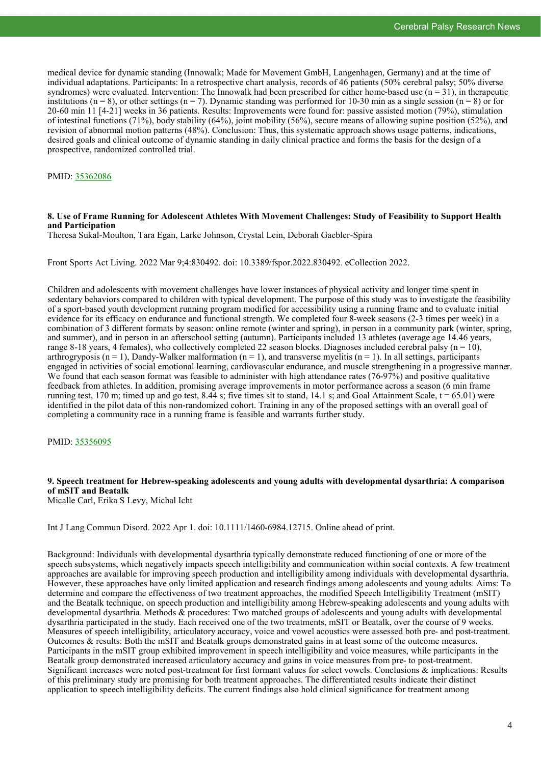medical device for dynamic standing (Innowalk; Made for Movement GmbH, Langenhagen, Germany) and at the time of individual adaptations. Participants: In a retrospective chart analysis, records of 46 patients (50% cerebral palsy; 50% diverse syndromes) were evaluated. Intervention: The Innowalk had been prescribed for either home-based use  $(n = 31)$ , in therapeutic institutions  $(n = 8)$ , or other settings  $(n = 7)$ . Dynamic standing was performed for 10-30 min as a single session  $(n = 8)$  or for 20-60 min 11 [4-21] weeks in 36 patients. Results: Improvements were found for: passive assisted motion (79%), stimulation of intestinal functions (71%), body stability (64%), joint mobility (56%), secure means of allowing supine position (52%), and revision of abnormal motion patterns (48%). Conclusion: Thus, this systematic approach shows usage patterns, indications, desired goals and clinical outcome of dynamic standing in daily clinical practice and forms the basis for the design of a prospective, randomized controlled trial.

PMID: [35362086](https://pubmed.ncbi.nlm.nih.gov/35362086)

#### **8. Use of Frame Running for Adolescent Athletes With Movement Challenges: Study of Feasibility to Support Health and Participation**

Theresa Sukal-Moulton, Tara Egan, Larke Johnson, Crystal Lein, Deborah Gaebler-Spira

Front Sports Act Living. 2022 Mar 9;4:830492. doi: 10.3389/fspor.2022.830492. eCollection 2022.

Children and adolescents with movement challenges have lower instances of physical activity and longer time spent in sedentary behaviors compared to children with typical development. The purpose of this study was to investigate the feasibility of a sport-based youth development running program modified for accessibility using a running frame and to evaluate initial evidence for its efficacy on endurance and functional strength. We completed four 8-week seasons (2-3 times per week) in a combination of 3 different formats by season: online remote (winter and spring), in person in a community park (winter, spring, and summer), and in person in an afterschool setting (autumn). Participants included 13 athletes (average age 14.46 years, range 8-18 years, 4 females), who collectively completed 22 season blocks. Diagnoses included cerebral palsy ( $n = 10$ ), arthrogryposis  $(n = 1)$ , Dandy-Walker malformation  $(n = 1)$ , and transverse myelitis  $(n = 1)$ . In all settings, participants engaged in activities of social emotional learning, cardiovascular endurance, and muscle strengthening in a progressive manner. We found that each season format was feasible to administer with high attendance rates (76-97%) and positive qualitative feedback from athletes. In addition, promising average improvements in motor performance across a season (6 min frame running test, 170 m; timed up and go test, 8.44 s; five times sit to stand, 14.1 s; and Goal Attainment Scale,  $t = 65.01$ ) were identified in the pilot data of this non-randomized cohort. Training in any of the proposed settings with an overall goal of completing a community race in a running frame is feasible and warrants further study.

PMID: [35356095](https://pubmed.ncbi.nlm.nih.gov/35356095)

# **9. Speech treatment for Hebrew-speaking adolescents and young adults with developmental dysarthria: A comparison of mSIT and Beatalk**

Micalle Carl, Erika S Levy, Michal Icht

Int J Lang Commun Disord. 2022 Apr 1. doi: 10.1111/1460-6984.12715. Online ahead of print.

Background: Individuals with developmental dysarthria typically demonstrate reduced functioning of one or more of the speech subsystems, which negatively impacts speech intelligibility and communication within social contexts. A few treatment approaches are available for improving speech production and intelligibility among individuals with developmental dysarthria. However, these approaches have only limited application and research findings among adolescents and young adults. Aims: To determine and compare the effectiveness of two treatment approaches, the modified Speech Intelligibility Treatment (mSIT) and the Beatalk technique, on speech production and intelligibility among Hebrew-speaking adolescents and young adults with developmental dysarthria. Methods & procedures: Two matched groups of adolescents and young adults with developmental dysarthria participated in the study. Each received one of the two treatments, mSIT or Beatalk, over the course of 9 weeks. Measures of speech intelligibility, articulatory accuracy, voice and vowel acoustics were assessed both pre- and post-treatment. Outcomes & results: Both the mSIT and Beatalk groups demonstrated gains in at least some of the outcome measures. Participants in the mSIT group exhibited improvement in speech intelligibility and voice measures, while participants in the Beatalk group demonstrated increased articulatory accuracy and gains in voice measures from pre- to post-treatment. Significant increases were noted post-treatment for first formant values for select vowels. Conclusions & implications: Results of this preliminary study are promising for both treatment approaches. The differentiated results indicate their distinct application to speech intelligibility deficits. The current findings also hold clinical significance for treatment among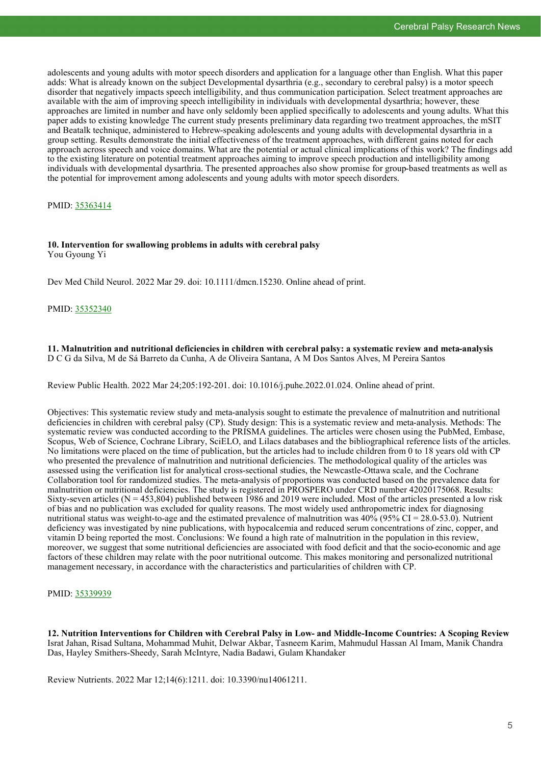adolescents and young adults with motor speech disorders and application for a language other than English. What this paper adds: What is already known on the subject Developmental dysarthria (e.g., secondary to cerebral palsy) is a motor speech disorder that negatively impacts speech intelligibility, and thus communication participation. Select treatment approaches are available with the aim of improving speech intelligibility in individuals with developmental dysarthria; however, these approaches are limited in number and have only seldomly been applied specifically to adolescents and young adults. What this paper adds to existing knowledge The current study presents preliminary data regarding two treatment approaches, the mSIT and Beatalk technique, administered to Hebrew-speaking adolescents and young adults with developmental dysarthria in a group setting. Results demonstrate the initial effectiveness of the treatment approaches, with different gains noted for each approach across speech and voice domains. What are the potential or actual clinical implications of this work? The findings add to the existing literature on potential treatment approaches aiming to improve speech production and intelligibility among individuals with developmental dysarthria. The presented approaches also show promise for group-based treatments as well as the potential for improvement among adolescents and young adults with motor speech disorders.

PMID: [35363414](https://pubmed.ncbi.nlm.nih.gov/35363414)

#### **10. Intervention for swallowing problems in adults with cerebral palsy** You Gyoung Yi

Dev Med Child Neurol. 2022 Mar 29. doi: 10.1111/dmcn.15230. Online ahead of print.

PMID: [35352340](https://pubmed.ncbi.nlm.nih.gov/35352340)

**11. Malnutrition and nutritional deficiencies in children with cerebral palsy: a systematic review and meta-analysis** D C G da Silva, M de Sá Barreto da Cunha, A de Oliveira Santana, A M Dos Santos Alves, M Pereira Santos

Review Public Health. 2022 Mar 24;205:192-201. doi: 10.1016/j.puhe.2022.01.024. Online ahead of print.

Objectives: This systematic review study and meta-analysis sought to estimate the prevalence of malnutrition and nutritional deficiencies in children with cerebral palsy (CP). Study design: This is a systematic review and meta-analysis. Methods: The systematic review was conducted according to the PRISMA guidelines. The articles were chosen using the PubMed, Embase, Scopus, Web of Science, Cochrane Library, SciELO, and Lilacs databases and the bibliographical reference lists of the articles. No limitations were placed on the time of publication, but the articles had to include children from 0 to 18 years old with CP who presented the prevalence of malnutrition and nutritional deficiencies. The methodological quality of the articles was assessed using the verification list for analytical cross-sectional studies, the Newcastle-Ottawa scale, and the Cochrane Collaboration tool for randomized studies. The meta-analysis of proportions was conducted based on the prevalence data for malnutrition or nutritional deficiencies. The study is registered in PROSPERO under CRD number 42020175068. Results: Sixty-seven articles ( $N = 453,804$ ) published between 1986 and 2019 were included. Most of the articles presented a low risk of bias and no publication was excluded for quality reasons. The most widely used anthropometric index for diagnosing nutritional status was weight-to-age and the estimated prevalence of malnutrition was  $40\%$  (95% CI = 28.0-53.0). Nutrient deficiency was investigated by nine publications, with hypocalcemia and reduced serum concentrations of zinc, copper, and vitamin D being reported the most. Conclusions: We found a high rate of malnutrition in the population in this review, moreover, we suggest that some nutritional deficiencies are associated with food deficit and that the socio-economic and age factors of these children may relate with the poor nutritional outcome. This makes monitoring and personalized nutritional management necessary, in accordance with the characteristics and particularities of children with CP.

## PMID: [35339939](https://pubmed.ncbi.nlm.nih.gov/35339939)

**12. Nutrition Interventions for Children with Cerebral Palsy in Low- and Middle-Income Countries: A Scoping Review** Israt Jahan, Risad Sultana, Mohammad Muhit, Delwar Akbar, Tasneem Karim, Mahmudul Hassan Al Imam, Manik Chandra Das, Hayley Smithers-Sheedy, Sarah McIntyre, Nadia Badawi, Gulam Khandaker

Review Nutrients. 2022 Mar 12;14(6):1211. doi: 10.3390/nu14061211.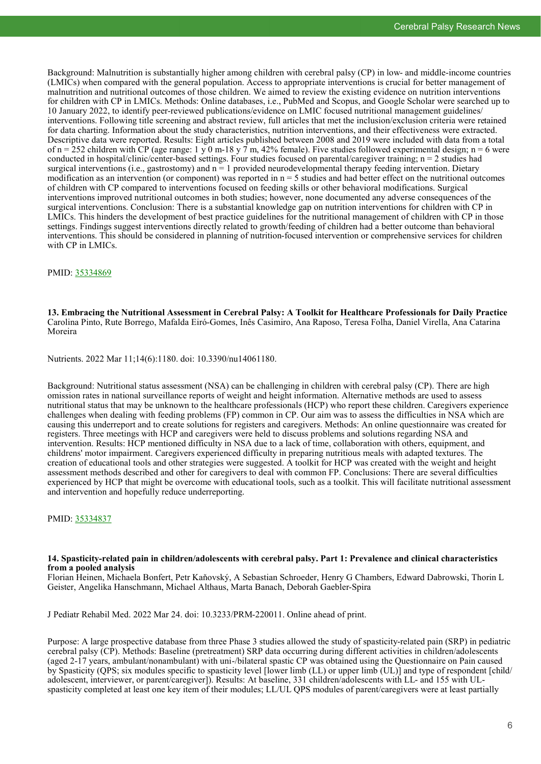Background: Malnutrition is substantially higher among children with cerebral palsy (CP) in low- and middle-income countries (LMICs) when compared with the general population. Access to appropriate interventions is crucial for better management of malnutrition and nutritional outcomes of those children. We aimed to review the existing evidence on nutrition interventions for children with CP in LMICs. Methods: Online databases, i.e., PubMed and Scopus, and Google Scholar were searched up to 10 January 2022, to identify peer-reviewed publications/evidence on LMIC focused nutritional management guidelines/ interventions. Following title screening and abstract review, full articles that met the inclusion/exclusion criteria were retained for data charting. Information about the study characteristics, nutrition interventions, and their effectiveness were extracted. Descriptive data were reported. Results: Eight articles published between 2008 and 2019 were included with data from a total of n = 252 children with CP (age range: 1 y 0 m-18 y 7 m, 42% female). Five studies followed experimental design; n = 6 were conducted in hospital/clinic/center-based settings. Four studies focused on parental/caregiver training; n = 2 studies had surgical interventions (i.e., gastrostomy) and  $n = 1$  provided neurodevelopmental therapy feeding intervention. Dietary modification as an intervention (or component) was reported in  $n = 5$  studies and had better effect on the nutritional outcomes of children with CP compared to interventions focused on feeding skills or other behavioral modifications. Surgical interventions improved nutritional outcomes in both studies; however, none documented any adverse consequences of the surgical interventions. Conclusion: There is a substantial knowledge gap on nutrition interventions for children with CP in LMICs. This hinders the development of best practice guidelines for the nutritional management of children with CP in those settings. Findings suggest interventions directly related to growth/feeding of children had a better outcome than behavioral interventions. This should be considered in planning of nutrition-focused intervention or comprehensive services for children with CP in LMICs.

### PMID: [35334869](https://pubmed.ncbi.nlm.nih.gov/35334869)

**13. Embracing the Nutritional Assessment in Cerebral Palsy: A Toolkit for Healthcare Professionals for Daily Practice** Carolina Pinto, Rute Borrego, Mafalda Eiró-Gomes, Inês Casimiro, Ana Raposo, Teresa Folha, Daniel Virella, Ana Catarina Moreira

Nutrients. 2022 Mar 11;14(6):1180. doi: 10.3390/nu14061180.

Background: Nutritional status assessment (NSA) can be challenging in children with cerebral palsy (CP). There are high omission rates in national surveillance reports of weight and height information. Alternative methods are used to assess nutritional status that may be unknown to the healthcare professionals (HCP) who report these children. Caregivers experience challenges when dealing with feeding problems (FP) common in CP. Our aim was to assess the difficulties in NSA which are causing this underreport and to create solutions for registers and caregivers. Methods: An online questionnaire was created for registers. Three meetings with HCP and caregivers were held to discuss problems and solutions regarding NSA and intervention. Results: HCP mentioned difficulty in NSA due to a lack of time, collaboration with others, equipment, and childrens' motor impairment. Caregivers experienced difficulty in preparing nutritious meals with adapted textures. The creation of educational tools and other strategies were suggested. A toolkit for HCP was created with the weight and height assessment methods described and other for caregivers to deal with common FP. Conclusions: There are several difficulties experienced by HCP that might be overcome with educational tools, such as a toolkit. This will facilitate nutritional assessment and intervention and hopefully reduce underreporting.

#### PMID: [35334837](https://pubmed.ncbi.nlm.nih.gov/35334837)

#### **14. Spasticity-related pain in children/adolescents with cerebral palsy. Part 1: Prevalence and clinical characteristics from a pooled analysis**

Florian Heinen, Michaela Bonfert, Petr Kaňovský, A Sebastian Schroeder, Henry G Chambers, Edward Dabrowski, Thorin L Geister, Angelika Hanschmann, Michael Althaus, Marta Banach, Deborah Gaebler-Spira

J Pediatr Rehabil Med. 2022 Mar 24. doi: 10.3233/PRM-220011. Online ahead of print.

Purpose: A large prospective database from three Phase 3 studies allowed the study of spasticity-related pain (SRP) in pediatric cerebral palsy (CP). Methods: Baseline (pretreatment) SRP data occurring during different activities in children/adolescents (aged 2-17 years, ambulant/nonambulant) with uni-/bilateral spastic CP was obtained using the Questionnaire on Pain caused by Spasticity (QPS; six modules specific to spasticity level [lower limb (LL) or upper limb (UL)] and type of respondent [child/ adolescent, interviewer, or parent/caregiver]). Results: At baseline, 331 children/adolescents with LL- and 155 with ULspasticity completed at least one key item of their modules; LL/UL QPS modules of parent/caregivers were at least partially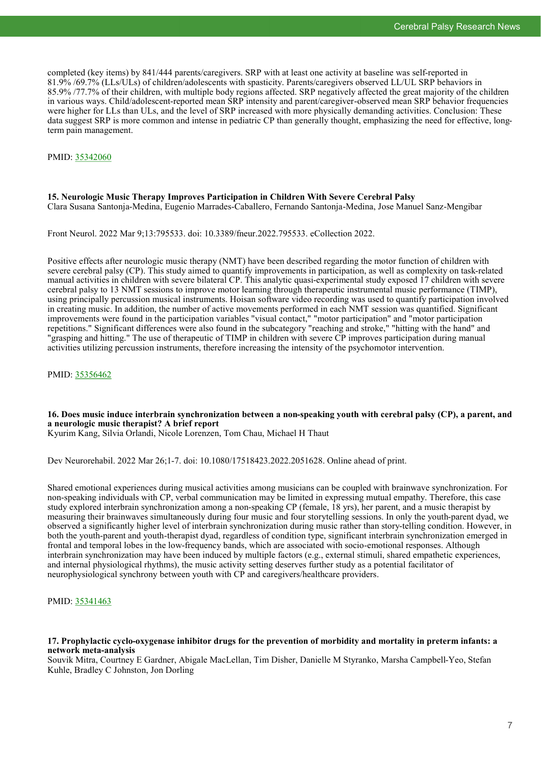completed (key items) by 841/444 parents/caregivers. SRP with at least one activity at baseline was self-reported in 81.9% /69.7% (LLs/ULs) of children/adolescents with spasticity. Parents/caregivers observed LL/UL SRP behaviors in 85.9% /77.7% of their children, with multiple body regions affected. SRP negatively affected the great majority of the children in various ways. Child/adolescent-reported mean SRP intensity and parent/caregiver-observed mean SRP behavior frequencies were higher for LLs than ULs, and the level of SRP increased with more physically demanding activities. Conclusion: These data suggest SRP is more common and intense in pediatric CP than generally thought, emphasizing the need for effective, longterm pain management.

PMID: [35342060](https://pubmed.ncbi.nlm.nih.gov/35342060)

## **15. Neurologic Music Therapy Improves Participation in Children With Severe Cerebral Palsy** Clara Susana Santonja-Medina, Eugenio Marrades-Caballero, Fernando Santonja-Medina, Jose Manuel Sanz-Mengibar

Front Neurol. 2022 Mar 9;13:795533. doi: 10.3389/fneur.2022.795533. eCollection 2022.

Positive effects after neurologic music therapy (NMT) have been described regarding the motor function of children with severe cerebral palsy (CP). This study aimed to quantify improvements in participation, as well as complexity on task-related manual activities in children with severe bilateral CP. This analytic quasi-experimental study exposed 17 children with severe cerebral palsy to 13 NMT sessions to improve motor learning through therapeutic instrumental music performance (TIMP), using principally percussion musical instruments. Hoisan software video recording was used to quantify participation involved in creating music. In addition, the number of active movements performed in each NMT session was quantified. Significant improvements were found in the participation variables "visual contact," "motor participation" and "motor participation repetitions." Significant differences were also found in the subcategory "reaching and stroke," "hitting with the hand" and "grasping and hitting." The use of therapeutic of TIMP in children with severe CP improves participation during manual activities utilizing percussion instruments, therefore increasing the intensity of the psychomotor intervention.

PMID: [35356462](https://pubmed.ncbi.nlm.nih.gov/35356462)

# **16. Does music induce interbrain synchronization between a non-speaking youth with cerebral palsy (CP), a parent, and a neurologic music therapist? A brief report**

Kyurim Kang, Silvia Orlandi, Nicole Lorenzen, Tom Chau, Michael H Thaut

Dev Neurorehabil. 2022 Mar 26;1-7. doi: 10.1080/17518423.2022.2051628. Online ahead of print.

Shared emotional experiences during musical activities among musicians can be coupled with brainwave synchronization. For non-speaking individuals with CP, verbal communication may be limited in expressing mutual empathy. Therefore, this case study explored interbrain synchronization among a non-speaking CP (female, 18 yrs), her parent, and a music therapist by measuring their brainwaves simultaneously during four music and four storytelling sessions. In only the youth-parent dyad, we observed a significantly higher level of interbrain synchronization during music rather than story-telling condition. However, in both the youth-parent and youth-therapist dyad, regardless of condition type, significant interbrain synchronization emerged in frontal and temporal lobes in the low-frequency bands, which are associated with socio-emotional responses. Although interbrain synchronization may have been induced by multiple factors (e.g., external stimuli, shared empathetic experiences, and internal physiological rhythms), the music activity setting deserves further study as a potential facilitator of neurophysiological synchrony between youth with CP and caregivers/healthcare providers.

PMID: [35341463](https://pubmed.ncbi.nlm.nih.gov/35341463)

#### **17. Prophylactic cyclo-oxygenase inhibitor drugs for the prevention of morbidity and mortality in preterm infants: a network meta-analysis**

Souvik Mitra, Courtney E Gardner, Abigale MacLellan, Tim Disher, Danielle M Styranko, Marsha Campbell-Yeo, Stefan Kuhle, Bradley C Johnston, Jon Dorling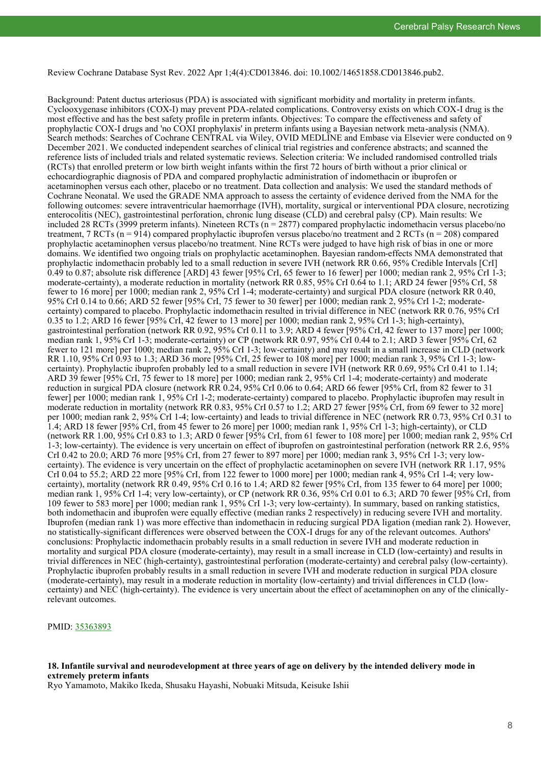Review Cochrane Database Syst Rev. 2022 Apr 1;4(4):CD013846. doi: 10.1002/14651858.CD013846.pub2.

Background: Patent ductus arteriosus (PDA) is associated with significant morbidity and mortality in preterm infants. Cyclooxygenase inhibitors (COX-I) may prevent PDA-related complications. Controversy exists on which COX-I drug is the most effective and has the best safety profile in preterm infants. Objectives: To compare the effectiveness and safety of prophylactic COX-I drugs and 'no COXI prophylaxis' in preterm infants using a Bayesian network meta-analysis (NMA). Search methods: Searches of Cochrane CENTRAL via Wiley, OVID MEDLINE and Embase via Elsevier were conducted on 9 December 2021. We conducted independent searches of clinical trial registries and conference abstracts; and scanned the reference lists of included trials and related systematic reviews. Selection criteria: We included randomised controlled trials (RCTs) that enrolled preterm or low birth weight infants within the first 72 hours of birth without a prior clinical or echocardiographic diagnosis of PDA and compared prophylactic administration of indomethacin or ibuprofen or acetaminophen versus each other, placebo or no treatment. Data collection and analysis: We used the standard methods of Cochrane Neonatal. We used the GRADE NMA approach to assess the certainty of evidence derived from the NMA for the following outcomes: severe intraventricular haemorrhage (IVH), mortality, surgical or interventional PDA closure, necrotizing enterocolitis (NEC), gastrointestinal perforation, chronic lung disease (CLD) and cerebral palsy (CP). Main results: We included 28 RCTs (3999 preterm infants). Nineteen RCTs (n = 2877) compared prophylactic indomethacin versus placebo/no treatment, 7 RCTs  $(n = 914)$  compared prophylactic ibuprofen versus placebo/no treatment and 2 RCTs  $(n = 208)$  compared prophylactic acetaminophen versus placebo/no treatment. Nine RCTs were judged to have high risk of bias in one or more domains. We identified two ongoing trials on prophylactic acetaminophen. Bayesian random-effects NMA demonstrated that prophylactic indomethacin probably led to a small reduction in severe IVH (network RR 0.66, 95% Credible Intervals [CrI]  $0.49$  to 0.87; absolute risk difference [ARD] 43 fewer [95% CrI, 65 fewer to 16 fewer] per 1000; median rank 2, 95% CrI 1-3; moderate-certainty), a moderate reduction in mortality (network RR 0.85, 95% CrI 0.64 to 1.1; ARD 24 fewer [95% CrI, 58 fewer to 16 more] per 1000; median rank 2, 95% CrI 1-4; moderate-certainty) and surgical PDA closure (network RR 0.40, 95% CrI 0.14 to 0.66; ARD 52 fewer [95% CrI, 75 fewer to 30 fewer] per 1000; median rank 2, 95% CrI 1-2; moderatecertainty) compared to placebo. Prophylactic indomethacin resulted in trivial difference in NEC (network RR 0.76, 95% CrI 0.35 to 1.2; ARD 16 fewer [95% CrI, 42 fewer to 13 more] per 1000; median rank 2, 95% CrI 1-3; high-certainty), gastrointestinal perforation (network RR 0.92, 95% CrI 0.11 to 3.9; ARD 4 fewer [95% CrI, 42 fewer to 137 more] per 1000; median rank 1, 95% CrI 1-3; moderate-certainty) or CP (network RR 0.97, 95% CrI 0.44 to 2.1; ARD 3 fewer [95% CrI, 62 fewer to 121 more] per 1000; median rank 2, 95% CrI 1-3; low-certainty) and may result in a small increase in CLD (network RR 1.10, 95% CrI 0.93 to 1.3; ARD 36 more [95% CrI, 25 fewer to 108 more] per 1000; median rank 3, 95% CrI 1-3; lowcertainty). Prophylactic ibuprofen probably led to a small reduction in severe IVH (network RR 0.69, 95% CrI 0.41 to 1.14; ARD 39 fewer [95% CrI, 75 fewer to 18 more] per 1000; median rank 2, 95% CrI 1-4; moderate-certainty) and moderate reduction in surgical PDA closure (network RR 0.24, 95% CrI 0.06 to 0.64; ARD 66 fewer [95% CrI, from 82 fewer to 31 fewer] per 1000; median rank 1, 95% CrI 1-2; moderate-certainty) compared to placebo. Prophylactic ibuprofen may result in moderate reduction in mortality (network RR 0.83, 95% CrI 0.57 to 1.2; ARD 27 fewer [95% CrI, from 69 fewer to 32 more] per 1000; median rank 2, 95% CrI 1-4; low-certainty) and leads to trivial difference in NEC (network RR 0.73, 95% CrI 0.31 to 1.4; ARD 18 fewer [95% CrI, from 45 fewer to 26 more] per 1000; median rank 1, 95% CrI 1-3; high-certainty), or CLD (network RR 1.00, 95% CrI 0.83 to 1.3; ARD 0 fewer [95% CrI, from 61 fewer to 108 more] per 1000; median rank 2, 95% CrI 1-3; low-certainty). The evidence is very uncertain on effect of ibuprofen on gastrointestinal perforation (network RR 2.6, 95% CrI 0.42 to 20.0; ARD 76 more [95% CrI, from 27 fewer to 897 more] per 1000; median rank 3, 95% CrI 1-3; very lowcertainty). The evidence is very uncertain on the effect of prophylactic acetaminophen on severe IVH (network RR 1.17, 95% CrI 0.04 to 55.2; ARD 22 more [95% CrI, from 122 fewer to 1000 more] per 1000; median rank 4, 95% CrI 1-4; very lowcertainty), mortality (network RR 0.49, 95% CrI 0.16 to 1.4; ARD 82 fewer [95% CrI, from 135 fewer to 64 more] per 1000; median rank 1, 95% CrI 1-4; very low-certainty), or CP (network RR 0.36, 95% CrI 0.01 to 6.3; ARD 70 fewer [95% CrI, from 109 fewer to 583 more] per 1000; median rank 1, 95% CrI 1-3; very low-certainty). In summary, based on ranking statistics, both indomethacin and ibuprofen were equally effective (median ranks 2 respectively) in reducing severe IVH and mortality. Ibuprofen (median rank 1) was more effective than indomethacin in reducing surgical PDA ligation (median rank 2). However, no statistically-significant differences were observed between the COX-I drugs for any of the relevant outcomes. Authors' conclusions: Prophylactic indomethacin probably results in a small reduction in severe IVH and moderate reduction in mortality and surgical PDA closure (moderate-certainty), may result in a small increase in CLD (low-certainty) and results in trivial differences in NEC (high-certainty), gastrointestinal perforation (moderate-certainty) and cerebral palsy (low-certainty). Prophylactic ibuprofen probably results in a small reduction in severe IVH and moderate reduction in surgical PDA closure (moderate-certainty), may result in a moderate reduction in mortality (low-certainty) and trivial differences in CLD (lowcertainty) and NEC (high-certainty). The evidence is very uncertain about the effect of acetaminophen on any of the clinicallyrelevant outcomes.

PMID: [35363893](https://pubmed.ncbi.nlm.nih.gov/35363893)

#### **18. Infantile survival and neurodevelopment at three years of age on delivery by the intended delivery mode in extremely preterm infants**

Ryo Yamamoto, Makiko Ikeda, Shusaku Hayashi, Nobuaki Mitsuda, Keisuke Ishii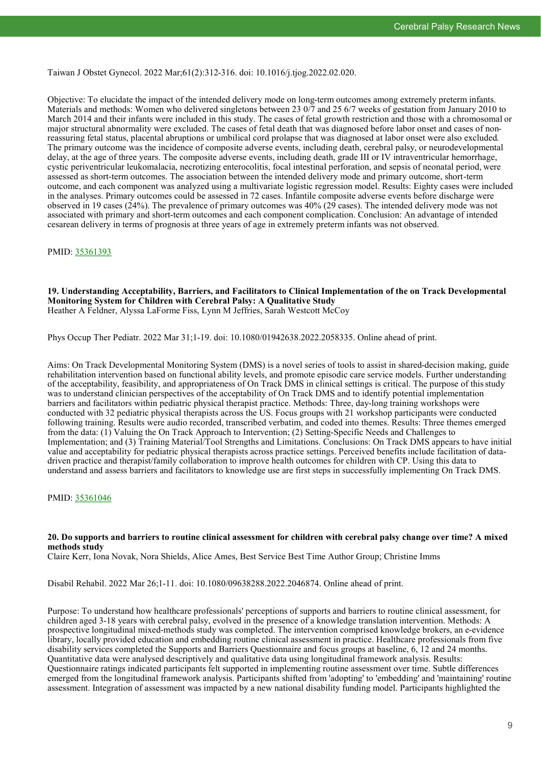Taiwan J Obstet Gynecol. 2022 Mar;61(2):312-316. doi: 10.1016/j.tjog.2022.02.020.

Objective: To elucidate the impact of the intended delivery mode on long-term outcomes among extremely preterm infants. Materials and methods: Women who delivered singletons between 23 0/7 and 25 6/7 weeks of gestation from January 2010 to March 2014 and their infants were included in this study. The cases of fetal growth restriction and those with a chromosomal or major structural abnormality were excluded. The cases of fetal death that was diagnosed before labor onset and cases of nonreassuring fetal status, placental abruptions or umbilical cord prolapse that was diagnosed at labor onset were also excluded. The primary outcome was the incidence of composite adverse events, including death, cerebral palsy, or neurodevelopmental delay, at the age of three years. The composite adverse events, including death, grade III or IV intraventricular hemorrhage, cystic periventricular leukomalacia, necrotizing enterocolitis, focal intestinal perforation, and sepsis of neonatal period, were assessed as short-term outcomes. The association between the intended delivery mode and primary outcome, short-term outcome, and each component was analyzed using a multivariate logistic regression model. Results: Eighty cases were included in the analyses. Primary outcomes could be assessed in 72 cases. Infantile composite adverse events before discharge were observed in 19 cases (24%). The prevalence of primary outcomes was 40% (29 cases). The intended delivery mode was not associated with primary and short-term outcomes and each component complication. Conclusion: An advantage of intended cesarean delivery in terms of prognosis at three years of age in extremely preterm infants was not observed.

PMID: [35361393](https://pubmed.ncbi.nlm.nih.gov/35361393)

#### **19. Understanding Acceptability, Barriers, and Facilitators to Clinical Implementation of the on Track Developmental Monitoring System for Children with Cerebral Palsy: A Qualitative Study** Heather A Feldner, Alyssa LaForme Fiss, Lynn M Jeffries, Sarah Westcott McCoy

Phys Occup Ther Pediatr. 2022 Mar 31;1-19. doi: 10.1080/01942638.2022.2058335. Online ahead of print.

Aims: On Track Developmental Monitoring System (DMS) is a novel series of tools to assist in shared-decision making, guide rehabilitation intervention based on functional ability levels, and promote episodic care service models. Further understanding of the acceptability, feasibility, and appropriateness of On Track DMS in clinical settings is critical. The purpose of this study was to understand clinician perspectives of the acceptability of On Track DMS and to identify potential implementation barriers and facilitators within pediatric physical therapist practice. Methods: Three, day-long training workshops were conducted with 32 pediatric physical therapists across the US. Focus groups with 21 workshop participants were conducted following training. Results were audio recorded, transcribed verbatim, and coded into themes. Results: Three themes emerged from the data: (1) Valuing the On Track Approach to Intervention; (2) Setting-Specific Needs and Challenges to Implementation; and (3) Training Material/Tool Strengths and Limitations. Conclusions: On Track DMS appears to have initial value and acceptability for pediatric physical therapists across practice settings. Perceived benefits include facilitation of datadriven practice and therapist/family collaboration to improve health outcomes for children with CP. Using this data to understand and assess barriers and facilitators to knowledge use are first steps in successfully implementing On Track DMS.

PMID: [35361046](https://pubmed.ncbi.nlm.nih.gov/35361046)

#### **20. Do supports and barriers to routine clinical assessment for children with cerebral palsy change over time? A mixed methods study**

Claire Kerr, Iona Novak, Nora Shields, Alice Ames, Best Service Best Time Author Group; Christine Imms

Disabil Rehabil. 2022 Mar 26;1-11. doi: 10.1080/09638288.2022.2046874. Online ahead of print.

Purpose: To understand how healthcare professionals' perceptions of supports and barriers to routine clinical assessment, for children aged 3-18 years with cerebral palsy, evolved in the presence of a knowledge translation intervention. Methods: A prospective longitudinal mixed-methods study was completed. The intervention comprised knowledge brokers, an e-evidence library, locally provided education and embedding routine clinical assessment in practice. Healthcare professionals from five disability services completed the Supports and Barriers Questionnaire and focus groups at baseline, 6, 12 and 24 months. Quantitative data were analysed descriptively and qualitative data using longitudinal framework analysis. Results: Questionnaire ratings indicated participants felt supported in implementing routine assessment over time. Subtle differences emerged from the longitudinal framework analysis. Participants shifted from 'adopting' to 'embedding' and 'maintaining' routine assessment. Integration of assessment was impacted by a new national disability funding model. Participants highlighted the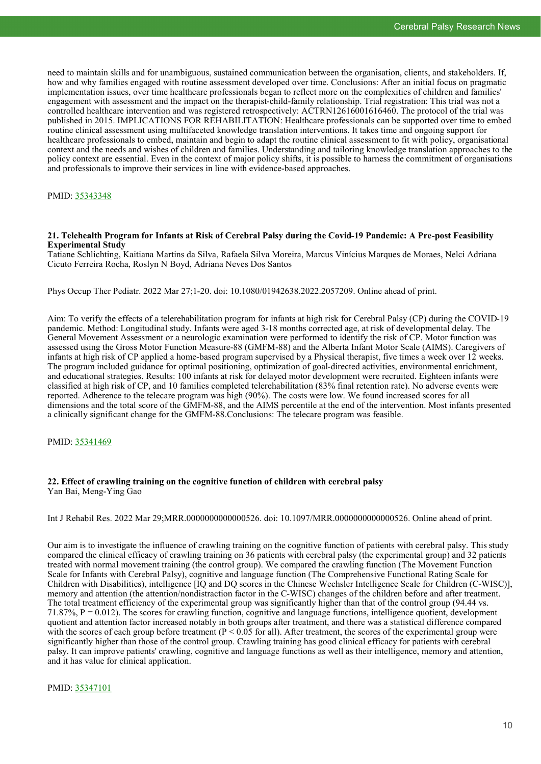need to maintain skills and for unambiguous, sustained communication between the organisation, clients, and stakeholders. If, how and why families engaged with routine assessment developed over time. Conclusions: After an initial focus on pragmatic implementation issues, over time healthcare professionals began to reflect more on the complexities of children and families' engagement with assessment and the impact on the therapist-child-family relationship. Trial registration: This trial was not a controlled healthcare intervention and was registered retrospectively: ACTRN12616001616460. The protocol of the trial was published in 2015. IMPLICATIONS FOR REHABILITATION: Healthcare professionals can be supported over time to embed routine clinical assessment using multifaceted knowledge translation interventions. It takes time and ongoing support for healthcare professionals to embed, maintain and begin to adapt the routine clinical assessment to fit with policy, organisational context and the needs and wishes of children and families. Understanding and tailoring knowledge translation approaches to the policy context are essential. Even in the context of major policy shifts, it is possible to harness the commitment of organisations and professionals to improve their services in line with evidence-based approaches.

#### PMID: [35343348](https://pubmed.ncbi.nlm.nih.gov/35343348)

#### **21. Telehealth Program for Infants at Risk of Cerebral Palsy during the Covid-19 Pandemic: A Pre-post Feasibility Experimental Study**

Tatiane Schlichting, Kaitiana Martins da Silva, Rafaela Silva Moreira, Marcus Vinícius Marques de Moraes, Nelci Adriana Cicuto Ferreira Rocha, Roslyn N Boyd, Adriana Neves Dos Santos

Phys Occup Ther Pediatr. 2022 Mar 27;1-20. doi: 10.1080/01942638.2022.2057209. Online ahead of print.

Aim: To verify the effects of a telerehabilitation program for infants at high risk for Cerebral Palsy (CP) during the COVID-19 pandemic. Method: Longitudinal study. Infants were aged 3-18 months corrected age, at risk of developmental delay. The General Movement Assessment or a neurologic examination were performed to identify the risk of CP. Motor function was assessed using the Gross Motor Function Measure-88 (GMFM-88) and the Alberta Infant Motor Scale (AIMS). Caregivers of infants at high risk of CP applied a home-based program supervised by a Physical therapist, five times a week over 12 weeks. The program included guidance for optimal positioning, optimization of goal-directed activities, environmental enrichment, and educational strategies. Results: 100 infants at risk for delayed motor development were recruited. Eighteen infants were classified at high risk of CP, and 10 families completed telerehabilitation (83% final retention rate). No adverse events were reported. Adherence to the telecare program was high (90%). The costs were low. We found increased scores for all dimensions and the total score of the GMFM-88, and the AIMS percentile at the end of the intervention. Most infants presented a clinically significant change for the GMFM-88.Conclusions: The telecare program was feasible.

#### PMID: [35341469](https://pubmed.ncbi.nlm.nih.gov/35341469)

#### **22. Effect of crawling training on the cognitive function of children with cerebral palsy** Yan Bai, Meng-Ying Gao

Int J Rehabil Res. 2022 Mar 29;MRR.0000000000000526. doi: 10.1097/MRR.0000000000000526. Online ahead of print.

Our aim is to investigate the influence of crawling training on the cognitive function of patients with cerebral palsy. This study compared the clinical efficacy of crawling training on 36 patients with cerebral palsy (the experimental group) and 32 patients treated with normal movement training (the control group). We compared the crawling function (The Movement Function Scale for Infants with Cerebral Palsy), cognitive and language function (The Comprehensive Functional Rating Scale for Children with Disabilities), intelligence [IQ and DQ scores in the Chinese Wechsler Intelligence Scale for Children (C-WISC)], memory and attention (the attention/nondistraction factor in the C-WISC) changes of the children before and after treatment. The total treatment efficiency of the experimental group was significantly higher than that of the control group (94.44 vs.  $71.87\%$ ,  $P = 0.012$ ). The scores for crawling function, cognitive and language functions, intelligence quotient, development quotient and attention factor increased notably in both groups after treatment, and there was a statistical difference compared with the scores of each group before treatment ( $P < 0.05$  for all). After treatment, the scores of the experimental group were significantly higher than those of the control group. Crawling training has good clinical efficacy for patients with cerebral palsy. It can improve patients' crawling, cognitive and language functions as well as their intelligence, memory and attention, and it has value for clinical application.

#### PMID: [35347101](https://pubmed.ncbi.nlm.nih.gov/35347101)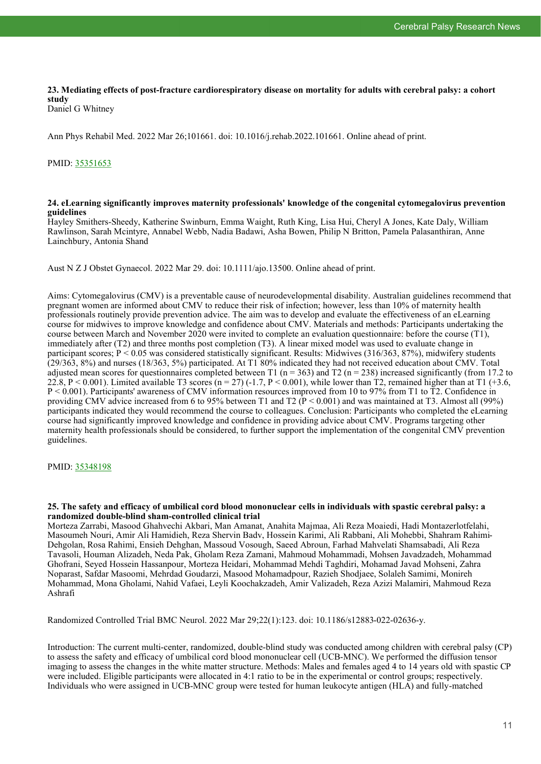# **23. Mediating effects of post-fracture cardiorespiratory disease on mortality for adults with cerebral palsy: a cohort study**

Daniel G Whitney

Ann Phys Rehabil Med. 2022 Mar 26;101661. doi: 10.1016/j.rehab.2022.101661. Online ahead of print.

### PMID: [35351653](https://pubmed.ncbi.nlm.nih.gov/35351653)

#### **24. eLearning significantly improves maternity professionals' knowledge of the congenital cytomegalovirus prevention guidelines**

Hayley Smithers-Sheedy, Katherine Swinburn, Emma Waight, Ruth King, Lisa Hui, Cheryl A Jones, Kate Daly, William Rawlinson, Sarah Mcintyre, Annabel Webb, Nadia Badawi, Asha Bowen, Philip N Britton, Pamela Palasanthiran, Anne Lainchbury, Antonia Shand

Aust N Z J Obstet Gynaecol. 2022 Mar 29. doi: 10.1111/ajo.13500. Online ahead of print.

Aims: Cytomegalovirus (CMV) is a preventable cause of neurodevelopmental disability. Australian guidelines recommend that pregnant women are informed about CMV to reduce their risk of infection; however, less than 10% of maternity health professionals routinely provide prevention advice. The aim was to develop and evaluate the effectiveness of an eLearning course for midwives to improve knowledge and confidence about CMV. Materials and methods: Participants undertaking the course between March and November 2020 were invited to complete an evaluation questionnaire: before the course (T1), immediately after (T2) and three months post completion (T3). A linear mixed model was used to evaluate change in participant scores;  $P < 0.05$  was considered statistically significant. Results: Midwives (316/363, 87%), midwifery students (29/363, 8%) and nurses (18/363, 5%) participated. At T1 80% indicated they had not received education about CMV. Total adjusted mean scores for questionnaires completed between T1 (n = 363) and T2 (n = 238) increased significantly (from 17.2 to 22.8, P < 0.001). Limited available T3 scores (n = 27) (-1.7, P < 0.001), while lower than T2, remained higher than at T1 (+3.6, P < 0.001). Participants' awareness of CMV information resources improved from 10 to 97% from T1 to T2. Confidence in providing CMV advice increased from 6 to 95% between T1 and T2  $\hat{P}$  < 0.001) and was maintained at T3. Almost all (99%) participants indicated they would recommend the course to colleagues. Conclusion: Participants who completed the eLearning course had significantly improved knowledge and confidence in providing advice about CMV. Programs targeting other maternity health professionals should be considered, to further support the implementation of the congenital CMV prevention guidelines.

#### PMID: [35348198](https://pubmed.ncbi.nlm.nih.gov/35348198)

#### **25. The safety and efficacy of umbilical cord blood mononuclear cells in individuals with spastic cerebral palsy: a randomized double-blind sham-controlled clinical trial**

Morteza Zarrabi, Masood Ghahvechi Akbari, Man Amanat, Anahita Majmaa, Ali Reza Moaiedi, Hadi Montazerlotfelahi, Masoumeh Nouri, Amir Ali Hamidieh, Reza Shervin Badv, Hossein Karimi, Ali Rabbani, Ali Mohebbi, Shahram Rahimi-Dehgolan, Rosa Rahimi, Ensieh Dehghan, Massoud Vosough, Saeed Abroun, Farhad Mahvelati Shamsabadi, Ali Reza Tavasoli, Houman Alizadeh, Neda Pak, Gholam Reza Zamani, Mahmoud Mohammadi, Mohsen Javadzadeh, Mohammad Ghofrani, Seyed Hossein Hassanpour, Morteza Heidari, Mohammad Mehdi Taghdiri, Mohamad Javad Mohseni, Zahra Noparast, Safdar Masoomi, Mehrdad Goudarzi, Masood Mohamadpour, Razieh Shodjaee, Solaleh Samimi, Monireh Mohammad, Mona Gholami, Nahid Vafaei, Leyli Koochakzadeh, Amir Valizadeh, Reza Azizi Malamiri, Mahmoud Reza Ashrafi

Randomized Controlled Trial BMC Neurol. 2022 Mar 29;22(1):123. doi: 10.1186/s12883-022-02636-y.

Introduction: The current multi-center, randomized, double-blind study was conducted among children with cerebral palsy (CP) to assess the safety and efficacy of umbilical cord blood mononuclear cell (UCB-MNC). We performed the diffusion tensor imaging to assess the changes in the white matter structure. Methods: Males and females aged 4 to 14 years old with spastic CP were included. Eligible participants were allocated in 4:1 ratio to be in the experimental or control groups; respectively. Individuals who were assigned in UCB-MNC group were tested for human leukocyte antigen (HLA) and fully-matched